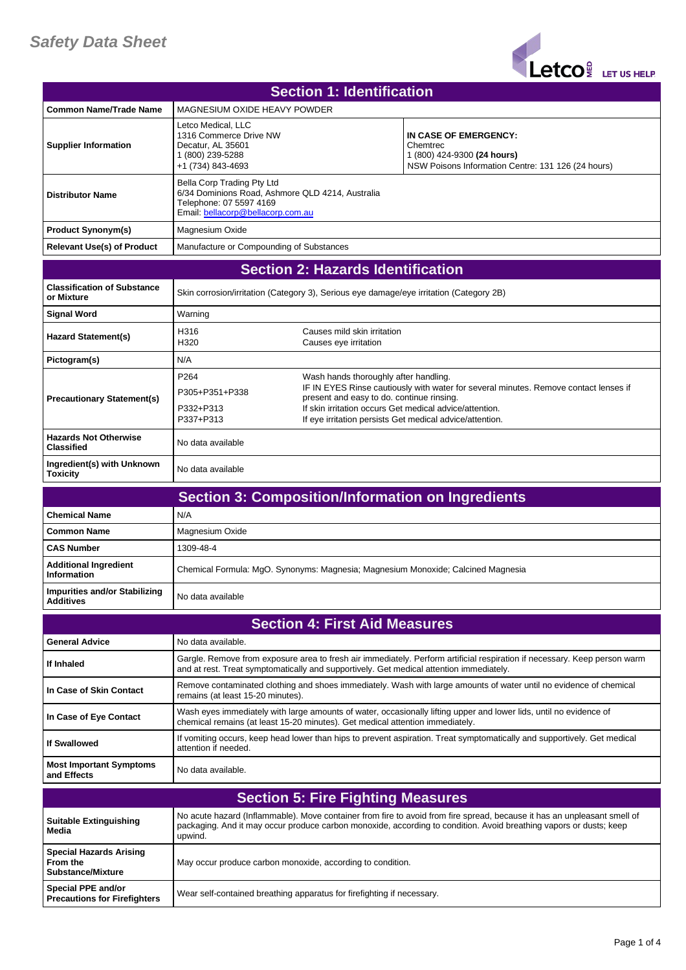

| <b>Section 1: Identification</b>                                       |                                                                                                                                                |                                                                                                                                               |                                                                                                                                                                                                                                                |
|------------------------------------------------------------------------|------------------------------------------------------------------------------------------------------------------------------------------------|-----------------------------------------------------------------------------------------------------------------------------------------------|------------------------------------------------------------------------------------------------------------------------------------------------------------------------------------------------------------------------------------------------|
| <b>Common Name/Trade Name</b>                                          | MAGNESIUM OXIDE HEAVY POWDER                                                                                                                   |                                                                                                                                               |                                                                                                                                                                                                                                                |
| <b>Supplier Information</b>                                            | Letco Medical, LLC<br>1316 Commerce Drive NW<br>Decatur, AL 35601<br>1 (800) 239-5288<br>+1 (734) 843-4693                                     |                                                                                                                                               | IN CASE OF EMERGENCY:<br>Chemtrec<br>1 (800) 424-9300 (24 hours)<br>NSW Poisons Information Centre: 131 126 (24 hours)                                                                                                                         |
| <b>Distributor Name</b>                                                | Bella Corp Trading Pty Ltd<br>6/34 Dominions Road, Ashmore QLD 4214, Australia<br>Telephone: 07 5597 4169<br>Email: bellacorp@bellacorp.com.au |                                                                                                                                               |                                                                                                                                                                                                                                                |
| <b>Product Synonym(s)</b>                                              | Magnesium Oxide                                                                                                                                |                                                                                                                                               |                                                                                                                                                                                                                                                |
| <b>Relevant Use(s) of Product</b>                                      | Manufacture or Compounding of Substances                                                                                                       |                                                                                                                                               |                                                                                                                                                                                                                                                |
|                                                                        |                                                                                                                                                | <b>Section 2: Hazards Identification</b>                                                                                                      |                                                                                                                                                                                                                                                |
| <b>Classification of Substance</b><br>or Mixture                       | Skin corrosion/irritation (Category 3), Serious eye damage/eye irritation (Category 2B)                                                        |                                                                                                                                               |                                                                                                                                                                                                                                                |
| <b>Signal Word</b>                                                     | Warning                                                                                                                                        |                                                                                                                                               |                                                                                                                                                                                                                                                |
| <b>Hazard Statement(s)</b>                                             | H316<br>H320                                                                                                                                   | Causes mild skin irritation<br>Causes eye irritation                                                                                          |                                                                                                                                                                                                                                                |
| Pictogram(s)                                                           | N/A                                                                                                                                            |                                                                                                                                               |                                                                                                                                                                                                                                                |
| <b>Precautionary Statement(s)</b>                                      | P <sub>264</sub><br>P305+P351+P338<br>P332+P313<br>P337+P313                                                                                   | Wash hands thoroughly after handling.<br>present and easy to do. continue rinsing.<br>If skin irritation occurs Get medical advice/attention. | IF IN EYES Rinse cautiously with water for several minutes. Remove contact lenses if<br>If eye irritation persists Get medical advice/attention.                                                                                               |
| <b>Hazards Not Otherwise</b><br><b>Classified</b>                      | No data available                                                                                                                              |                                                                                                                                               |                                                                                                                                                                                                                                                |
| Ingredient(s) with Unknown<br><b>Toxicity</b>                          | No data available                                                                                                                              |                                                                                                                                               |                                                                                                                                                                                                                                                |
|                                                                        |                                                                                                                                                |                                                                                                                                               | <b>Section 3: Composition/Information on Ingredients</b>                                                                                                                                                                                       |
| <b>Chemical Name</b>                                                   | N/A                                                                                                                                            |                                                                                                                                               |                                                                                                                                                                                                                                                |
| <b>Common Name</b>                                                     | Magnesium Oxide                                                                                                                                |                                                                                                                                               |                                                                                                                                                                                                                                                |
| <b>CAS Number</b>                                                      | 1309-48-4                                                                                                                                      |                                                                                                                                               |                                                                                                                                                                                                                                                |
| <b>Additional Ingredient</b><br><b>Information</b>                     |                                                                                                                                                |                                                                                                                                               | Chemical Formula: MgO. Synonyms: Magnesia; Magnesium Monoxide; Calcined Magnesia                                                                                                                                                               |
| <b>Impurities and/or Stabilizing</b><br>Additives                      | No data available                                                                                                                              |                                                                                                                                               |                                                                                                                                                                                                                                                |
|                                                                        |                                                                                                                                                | <b>Section 4: First Aid Measures</b>                                                                                                          |                                                                                                                                                                                                                                                |
| <b>General Advice</b>                                                  | No data available.                                                                                                                             |                                                                                                                                               |                                                                                                                                                                                                                                                |
| If Inhaled                                                             | and at rest. Treat symptomatically and supportively. Get medical attention immediately.                                                        |                                                                                                                                               | Gargle. Remove from exposure area to fresh air immediately. Perform artificial respiration if necessary. Keep person warm                                                                                                                      |
| In Case of Skin Contact                                                | remains (at least 15-20 minutes).                                                                                                              |                                                                                                                                               | Remove contaminated clothing and shoes immediately. Wash with large amounts of water until no evidence of chemical                                                                                                                             |
| In Case of Eye Contact                                                 | chemical remains (at least 15-20 minutes). Get medical attention immediately.                                                                  |                                                                                                                                               | Wash eyes immediately with large amounts of water, occasionally lifting upper and lower lids, until no evidence of                                                                                                                             |
| <b>If Swallowed</b>                                                    | attention if needed.                                                                                                                           |                                                                                                                                               | If vomiting occurs, keep head lower than hips to prevent aspiration. Treat symptomatically and supportively. Get medical                                                                                                                       |
| <b>Most Important Symptoms</b><br>and Effects                          | No data available.                                                                                                                             |                                                                                                                                               |                                                                                                                                                                                                                                                |
|                                                                        |                                                                                                                                                | <b>Section 5: Fire Fighting Measures</b>                                                                                                      |                                                                                                                                                                                                                                                |
| <b>Suitable Extinguishing</b><br>Media                                 | upwind.                                                                                                                                        |                                                                                                                                               | No acute hazard (Inflammable). Move container from fire to avoid from fire spread, because it has an unpleasant smell of<br>packaging. And it may occur produce carbon monoxide, according to condition. Avoid breathing vapors or dusts; keep |
| <b>Special Hazards Arising</b><br>From the<br><b>Substance/Mixture</b> | May occur produce carbon monoxide, according to condition.                                                                                     |                                                                                                                                               |                                                                                                                                                                                                                                                |
| Special PPE and/or<br><b>Precautions for Firefighters</b>              | Wear self-contained breathing apparatus for firefighting if necessary.                                                                         |                                                                                                                                               |                                                                                                                                                                                                                                                |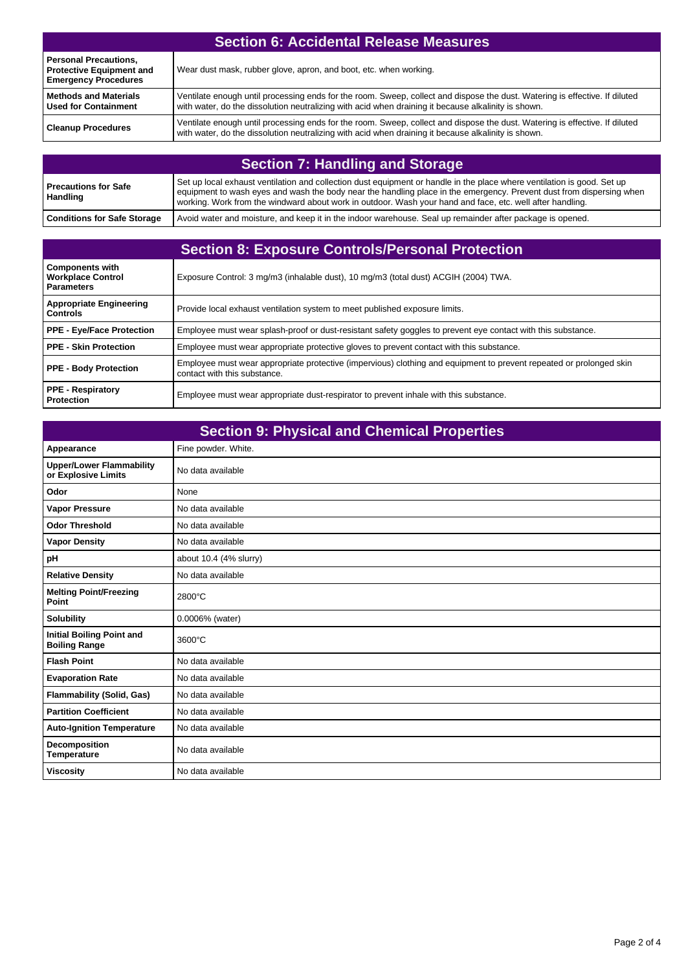| <b>Section 6: Accidental Release Measures</b>                                                  |                                                                                                                                                                                                                                    |  |
|------------------------------------------------------------------------------------------------|------------------------------------------------------------------------------------------------------------------------------------------------------------------------------------------------------------------------------------|--|
| <b>Personal Precautions,</b><br><b>Protective Equipment and</b><br><b>Emergency Procedures</b> | Wear dust mask, rubber glove, apron, and boot, etc. when working.                                                                                                                                                                  |  |
| <b>Methods and Materials</b><br><b>Used for Containment</b>                                    | Ventilate enough until processing ends for the room. Sweep, collect and dispose the dust. Watering is effective. If diluted<br>with water, do the dissolution neutralizing with acid when draining it because alkalinity is shown. |  |
| <b>Cleanup Procedures</b>                                                                      | Ventilate enough until processing ends for the room. Sweep, collect and dispose the dust. Watering is effective. If diluted<br>with water, do the dissolution neutralizing with acid when draining it because alkalinity is shown. |  |

| <b>Section 7: Handling and Storage</b> |                                                                                                                                                                                                                                                                                                                                                              |  |
|----------------------------------------|--------------------------------------------------------------------------------------------------------------------------------------------------------------------------------------------------------------------------------------------------------------------------------------------------------------------------------------------------------------|--|
| Precautions for Safe<br>Handling       | Set up local exhaust ventilation and collection dust equipment or handle in the place where ventilation is good. Set up<br>equipment to wash eyes and wash the body near the handling place in the emergency. Prevent dust from dispersing when<br>working. Work from the windward about work in outdoor. Wash your hand and face, etc. well after handling. |  |
| <b>Conditions for Safe Storage</b>     | Avoid water and moisture, and keep it in the indoor warehouse. Seal up remainder after package is opened.                                                                                                                                                                                                                                                    |  |

| <b>Section 8: Exposure Controls/Personal Protection</b>                 |                                                                                                                                                     |  |
|-------------------------------------------------------------------------|-----------------------------------------------------------------------------------------------------------------------------------------------------|--|
| <b>Components with</b><br><b>Workplace Control</b><br><b>Parameters</b> | Exposure Control: 3 mg/m3 (inhalable dust), 10 mg/m3 (total dust) ACGIH (2004) TWA.                                                                 |  |
| <b>Appropriate Engineering</b><br><b>Controls</b>                       | Provide local exhaust ventilation system to meet published exposure limits.                                                                         |  |
| <b>PPE - Eye/Face Protection</b>                                        | Employee must wear splash-proof or dust-resistant safety goggles to prevent eye contact with this substance.                                        |  |
| PPE - Skin Protection                                                   | Employee must wear appropriate protective gloves to prevent contact with this substance.                                                            |  |
| <b>PPE - Body Protection</b>                                            | Employee must wear appropriate protective (impervious) clothing and equipment to prevent repeated or prolonged skin<br>contact with this substance. |  |
| <b>PPE - Respiratory</b><br><b>Protection</b>                           | Employee must wear appropriate dust-respirator to prevent inhale with this substance.                                                               |  |

| <b>Section 9: Physical and Chemical Properties</b>       |                        |  |
|----------------------------------------------------------|------------------------|--|
| Appearance                                               | Fine powder. White.    |  |
| <b>Upper/Lower Flammability</b><br>or Explosive Limits   | No data available      |  |
| Odor                                                     | None                   |  |
| <b>Vapor Pressure</b>                                    | No data available      |  |
| <b>Odor Threshold</b>                                    | No data available      |  |
| <b>Vapor Density</b>                                     | No data available      |  |
| рH                                                       | about 10.4 (4% slurry) |  |
| <b>Relative Density</b>                                  | No data available      |  |
| <b>Melting Point/Freezing</b><br>Point                   | 2800°C                 |  |
| <b>Solubility</b>                                        | 0.0006% (water)        |  |
| <b>Initial Boiling Point and</b><br><b>Boiling Range</b> | 3600°C                 |  |
| <b>Flash Point</b>                                       | No data available      |  |
| <b>Evaporation Rate</b>                                  | No data available      |  |
| <b>Flammability (Solid, Gas)</b>                         | No data available      |  |
| <b>Partition Coefficient</b>                             | No data available      |  |
| <b>Auto-Ignition Temperature</b>                         | No data available      |  |
| Decomposition<br><b>Temperature</b>                      | No data available      |  |
| <b>Viscosity</b>                                         | No data available      |  |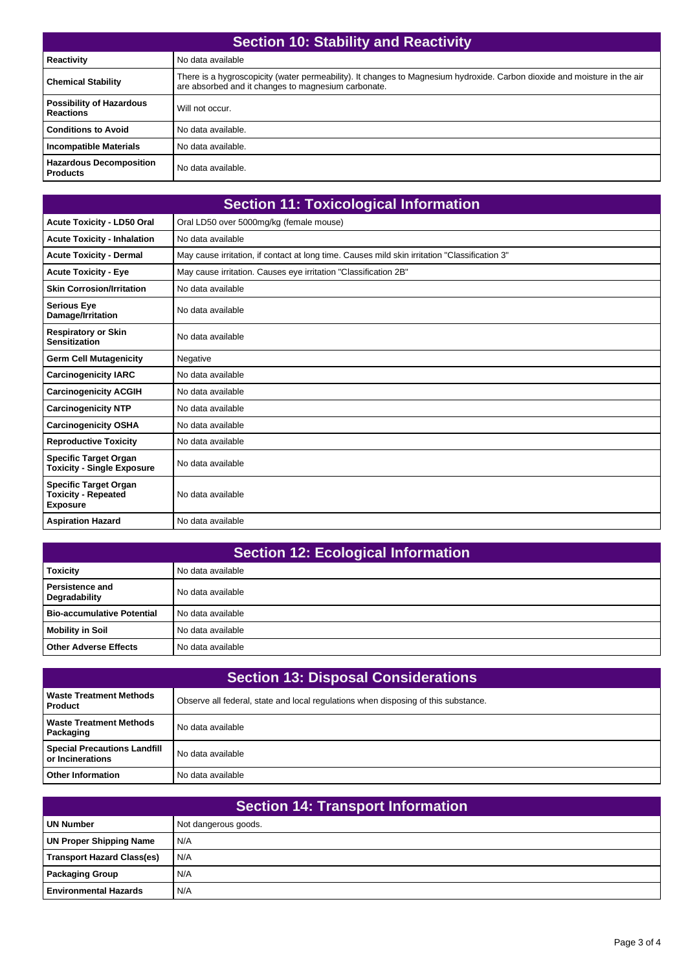| <b>Section 10: Stability and Reactivity</b>         |                                                                                                                                                                                  |  |
|-----------------------------------------------------|----------------------------------------------------------------------------------------------------------------------------------------------------------------------------------|--|
| <b>Reactivity</b>                                   | No data available                                                                                                                                                                |  |
| <b>Chemical Stability</b>                           | There is a hygroscopicity (water permeability). It changes to Magnesium hydroxide. Carbon dioxide and moisture in the air<br>are absorbed and it changes to magnesium carbonate. |  |
| <b>Possibility of Hazardous</b><br><b>Reactions</b> | Will not occur.                                                                                                                                                                  |  |
| <b>Conditions to Avoid</b>                          | No data available.                                                                                                                                                               |  |
| <b>Incompatible Materials</b>                       | No data available.                                                                                                                                                               |  |
| <b>Hazardous Decomposition</b><br><b>Products</b>   | No data available.                                                                                                                                                               |  |

|                                                                               | <b>Section 11: Toxicological Information</b>                                                  |
|-------------------------------------------------------------------------------|-----------------------------------------------------------------------------------------------|
| <b>Acute Toxicity - LD50 Oral</b>                                             | Oral LD50 over 5000mg/kg (female mouse)                                                       |
| <b>Acute Toxicity - Inhalation</b>                                            | No data available                                                                             |
| <b>Acute Toxicity - Dermal</b>                                                | May cause irritation, if contact at long time. Causes mild skin irritation "Classification 3" |
| <b>Acute Toxicity - Eye</b>                                                   | May cause irritation. Causes eye irritation "Classification 2B"                               |
| <b>Skin Corrosion/Irritation</b>                                              | No data available                                                                             |
| <b>Serious Eye</b><br>Damage/Irritation                                       | No data available                                                                             |
| <b>Respiratory or Skin</b><br><b>Sensitization</b>                            | No data available                                                                             |
| <b>Germ Cell Mutagenicity</b>                                                 | Negative                                                                                      |
| <b>Carcinogenicity IARC</b>                                                   | No data available                                                                             |
| <b>Carcinogenicity ACGIH</b>                                                  | No data available                                                                             |
| <b>Carcinogenicity NTP</b>                                                    | No data available                                                                             |
| <b>Carcinogenicity OSHA</b>                                                   | No data available                                                                             |
| <b>Reproductive Toxicity</b>                                                  | No data available                                                                             |
| <b>Specific Target Organ</b><br><b>Toxicity - Single Exposure</b>             | No data available                                                                             |
| <b>Specific Target Organ</b><br><b>Toxicity - Repeated</b><br><b>Exposure</b> | No data available                                                                             |
| <b>Aspiration Hazard</b>                                                      | No data available                                                                             |

| <b>Section 12: Ecological Information</b> |                   |  |
|-------------------------------------------|-------------------|--|
| <b>Toxicity</b>                           | No data available |  |
| <b>Persistence and</b><br>Degradability   | No data available |  |
| <b>Bio-accumulative Potential</b>         | No data available |  |
| <b>Mobility in Soil</b>                   | No data available |  |
| <b>Other Adverse Effects</b>              | No data available |  |

| <b>Section 13: Disposal Considerations</b>              |                                                                                    |  |
|---------------------------------------------------------|------------------------------------------------------------------------------------|--|
| <b>Waste Treatment Methods</b><br><b>Product</b>        | Observe all federal, state and local regulations when disposing of this substance. |  |
| <b>Waste Treatment Methods</b><br>Packaging             | No data available                                                                  |  |
| <b>Special Precautions Landfill</b><br>or Incinerations | No data available                                                                  |  |
| <b>Other Information</b>                                | No data available                                                                  |  |

| <b>Section 14: Transport Information</b> |                      |  |
|------------------------------------------|----------------------|--|
| <b>UN Number</b>                         | Not dangerous goods. |  |
| <b>UN Proper Shipping Name</b>           | N/A                  |  |
| <b>Transport Hazard Class(es)</b>        | N/A                  |  |
| <b>Packaging Group</b>                   | N/A                  |  |
| <b>Environmental Hazards</b>             | N/A                  |  |